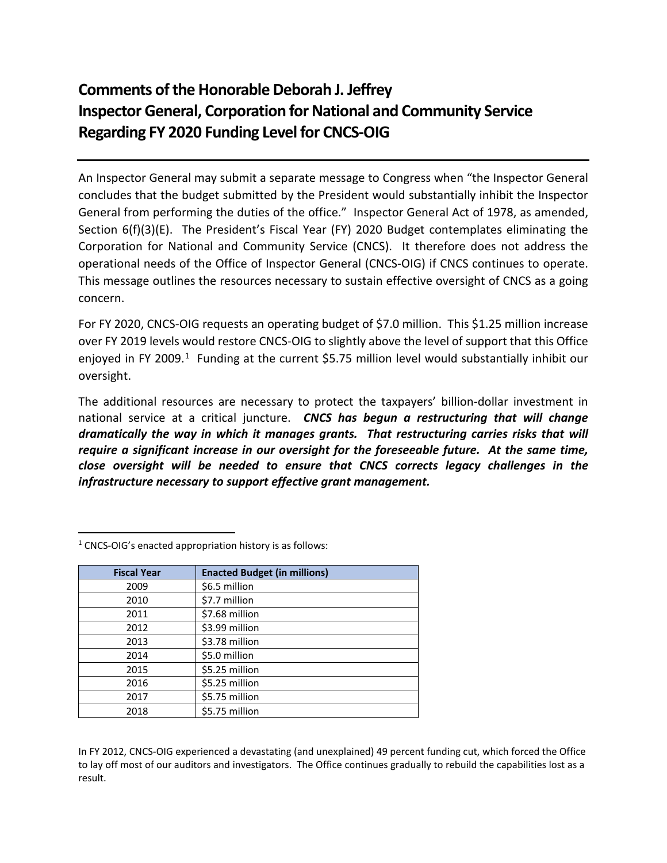# **Comments of the Honorable Deborah J. Jeffrey Inspector General, Corporation for National and Community Service Regarding FY 2020 Funding Level for CNCS-OIG**

An Inspector General may submit a separate message to Congress when "the Inspector General concludes that the budget submitted by the President would substantially inhibit the Inspector General from performing the duties of the office." Inspector General Act of 1978, as amended, Section 6(f)(3)(E). The President's Fiscal Year (FY) 2020 Budget contemplates eliminating the Corporation for National and Community Service (CNCS). It therefore does not address the operational needs of the Office of Inspector General (CNCS-OIG) if CNCS continues to operate. This message outlines the resources necessary to sustain effective oversight of CNCS as a going concern.

For FY 2020, CNCS-OIG requests an operating budget of \$7.0 million. This \$1.25 million increase over FY 2019 levels would restore CNCS-OIG to slightly above the level of support that this Office enjoyed in FY 2009.<sup>[1](#page-0-0)</sup> Funding at the current \$5.75 million level would substantially inhibit our oversight.

The additional resources are necessary to protect the taxpayers' billion-dollar investment in national service at a critical juncture. *CNCS has begun a restructuring that will change dramatically the way in which it manages grants. That restructuring carries risks that will require a significant increase in our oversight for the foreseeable future. At the same time, close oversight will be needed to ensure that CNCS corrects legacy challenges in the infrastructure necessary to support effective grant management.*

| <b>Fiscal Year</b> | <b>Enacted Budget (in millions)</b> |
|--------------------|-------------------------------------|
| 2009               | \$6.5 million                       |
| 2010               | \$7.7 million                       |
| 2011               | \$7.68 million                      |
| 2012               | \$3.99 million                      |
| 2013               | \$3.78 million                      |
| 2014               | \$5.0 million                       |
| 2015               | \$5.25 million                      |
| 2016               | \$5.25 million                      |
| 2017               | \$5.75 million                      |
| 2018               | \$5.75 million                      |

<span id="page-0-0"></span> $1$  CNCS-OIG's enacted appropriation history is as follows:

In FY 2012, CNCS-OIG experienced a devastating (and unexplained) 49 percent funding cut, which forced the Office to lay off most of our auditors and investigators. The Office continues gradually to rebuild the capabilities lost as a result.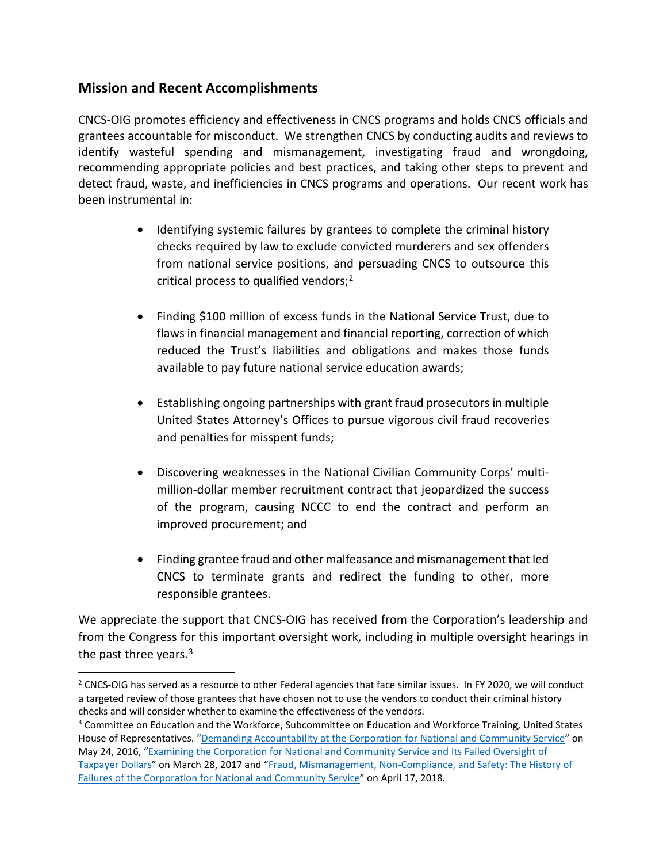#### **Mission and Recent Accomplishments**

CNCS-OIG promotes efficiency and effectiveness in CNCS programs and holds CNCS officials and grantees accountable for misconduct. We strengthen CNCS by conducting audits and reviews to identify wasteful spending and mismanagement, investigating fraud and wrongdoing, recommending appropriate policies and best practices, and taking other steps to prevent and detect fraud, waste, and inefficiencies in CNCS programs and operations. Our recent work has been instrumental in:

- Identifying systemic failures by grantees to complete the criminal history checks required by law to exclude convicted murderers and sex offenders from national service positions, and persuading CNCS to outsource this critical process to qualified vendors; [2](#page-1-0)
- Finding \$100 million of excess funds in the National Service Trust, due to flaws in financial management and financial reporting, correction of which reduced the Trust's liabilities and obligations and makes those funds available to pay future national service education awards;
- Establishing ongoing partnerships with grant fraud prosecutors in multiple United States Attorney's Offices to pursue vigorous civil fraud recoveries and penalties for misspent funds;
- Discovering weaknesses in the National Civilian Community Corps' multimillion-dollar member recruitment contract that jeopardized the success of the program, causing NCCC to end the contract and perform an improved procurement; and
- Finding grantee fraud and other malfeasance and mismanagement that led CNCS to terminate grants and redirect the funding to other, more responsible grantees.

We appreciate the support that CNCS-OIG has received from the Corporation's leadership and from the Congress for this important oversight work, including in multiple oversight hearings in the past three years.<sup>[3](#page-1-1)</sup>

<span id="page-1-0"></span><sup>&</sup>lt;sup>2</sup> CNCS-OIG has served as a resource to other Federal agencies that face similar issues. In FY 2020, we will conduct a targeted review of those grantees that have chosen not to use the vendors to conduct their criminal history checks and will consider whether to examine the effectiveness of the vendors.

<span id="page-1-1"></span><sup>&</sup>lt;sup>3</sup> Committee on Education and the Workforce, Subcommittee on Education and Workforce Training, United States House of Representatives. ["Demanding Accountability at the Corporation for National and Community Service"](https://edlabor.house.gov/hearings/demanding-accountability-at-the-corporation-for-national-and-community-service) on May 24, 2016, ["Examining the Corporation for National and Community Service and Its Failed Oversight of](https://edlabor.house.gov/hearings/examining-the-corporation-for-national-and-community-service-and-its-failed-oversight-of-taxpayer-dollars-)  [Taxpayer Dollars"](https://edlabor.house.gov/hearings/examining-the-corporation-for-national-and-community-service-and-its-failed-oversight-of-taxpayer-dollars-) on March 28, 2017 and ["Fraud, Mismanagement, Non-Compliance, and Safety: The History of](https://edlabor.house.gov/hearings/fraud-mismanagement-non-compliance-and-safety-the-history-of-failures-of-the-corporation-for-national-and-community-service)  [Failures of the Corporation for National and Community Service"](https://edlabor.house.gov/hearings/fraud-mismanagement-non-compliance-and-safety-the-history-of-failures-of-the-corporation-for-national-and-community-service) on April 17, 2018.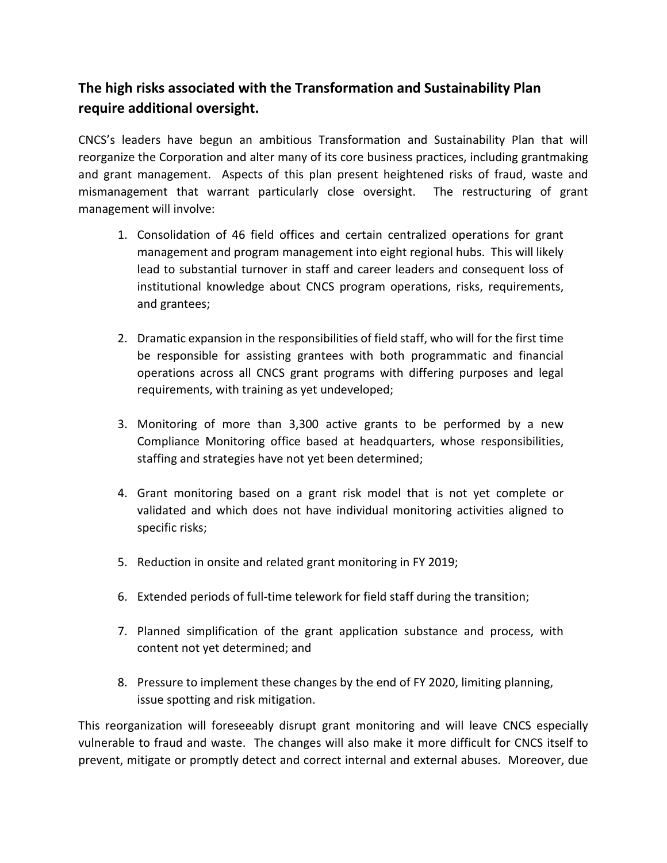## **The high risks associated with the Transformation and Sustainability Plan require additional oversight.**

CNCS's leaders have begun an ambitious Transformation and Sustainability Plan that will reorganize the Corporation and alter many of its core business practices, including grantmaking and grant management. Aspects of this plan present heightened risks of fraud, waste and mismanagement that warrant particularly close oversight. The restructuring of grant management will involve:

- 1. Consolidation of 46 field offices and certain centralized operations for grant management and program management into eight regional hubs. This will likely lead to substantial turnover in staff and career leaders and consequent loss of institutional knowledge about CNCS program operations, risks, requirements, and grantees;
- 2. Dramatic expansion in the responsibilities of field staff, who will for the first time be responsible for assisting grantees with both programmatic and financial operations across all CNCS grant programs with differing purposes and legal requirements, with training as yet undeveloped;
- 3. Monitoring of more than 3,300 active grants to be performed by a new Compliance Monitoring office based at headquarters, whose responsibilities, staffing and strategies have not yet been determined;
- 4. Grant monitoring based on a grant risk model that is not yet complete or validated and which does not have individual monitoring activities aligned to specific risks;
- 5. Reduction in onsite and related grant monitoring in FY 2019;
- 6. Extended periods of full-time telework for field staff during the transition;
- 7. Planned simplification of the grant application substance and process, with content not yet determined; and
- 8. Pressure to implement these changes by the end of FY 2020, limiting planning, issue spotting and risk mitigation.

This reorganization will foreseeably disrupt grant monitoring and will leave CNCS especially vulnerable to fraud and waste. The changes will also make it more difficult for CNCS itself to prevent, mitigate or promptly detect and correct internal and external abuses. Moreover, due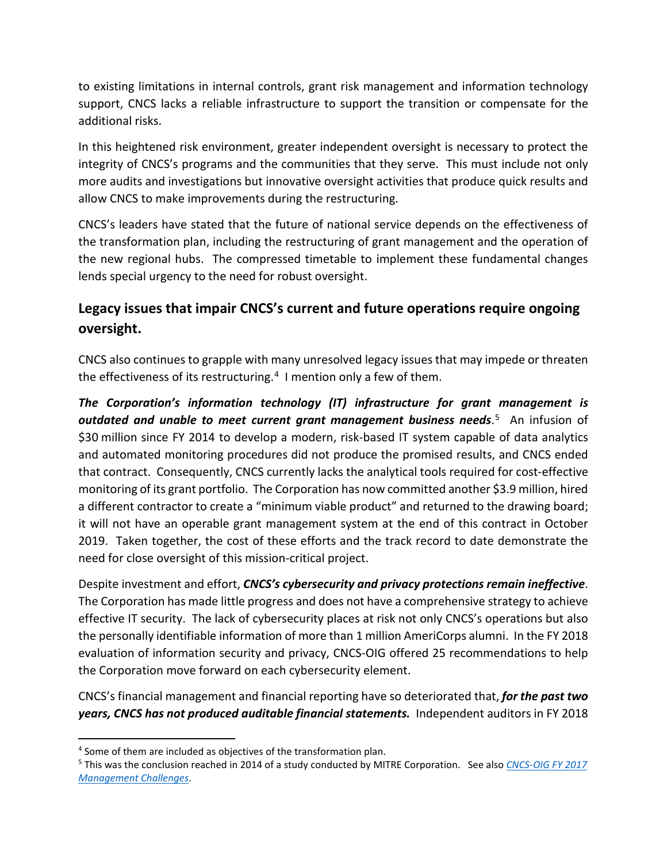to existing limitations in internal controls, grant risk management and information technology support, CNCS lacks a reliable infrastructure to support the transition or compensate for the additional risks.

In this heightened risk environment, greater independent oversight is necessary to protect the integrity of CNCS's programs and the communities that they serve. This must include not only more audits and investigations but innovative oversight activities that produce quick results and allow CNCS to make improvements during the restructuring.

CNCS's leaders have stated that the future of national service depends on the effectiveness of the transformation plan, including the restructuring of grant management and the operation of the new regional hubs. The compressed timetable to implement these fundamental changes lends special urgency to the need for robust oversight.

## **Legacy issues that impair CNCS's current and future operations require ongoing oversight.**

CNCS also continues to grapple with many unresolved legacy issuesthat may impede or threaten the effectiveness of its restructuring. [4](#page-3-0) I mention only a few of them.

*The Corporation's information technology (IT) infrastructure for grant management is outdated and unable to meet current grant management business needs*. [5](#page-3-1) An infusion of \$30 million since FY 2014 to develop a modern, risk-based IT system capable of data analytics and automated monitoring procedures did not produce the promised results, and CNCS ended that contract. Consequently, CNCS currently lacks the analytical tools required for cost-effective monitoring of its grant portfolio. The Corporation has now committed another \$3.9 million, hired a different contractor to create a "minimum viable product" and returned to the drawing board; it will not have an operable grant management system at the end of this contract in October 2019. Taken together, the cost of these efforts and the track record to date demonstrate the need for close oversight of this mission-critical project.

Despite investment and effort, *CNCS's cybersecurity and privacy protections remain ineffective*. The Corporation has made little progress and does not have a comprehensive strategy to achieve effective IT security. The lack of cybersecurity places at risk not only CNCS's operations but also the personally identifiable information of more than 1 million AmeriCorps alumni. In the FY 2018 evaluation of information security and privacy, CNCS-OIG offered 25 recommendations to help the Corporation move forward on each cybersecurity element.

CNCS's financial management and financial reporting have so deteriorated that, *for the past two years, CNCS has not produced auditable financial statements.* Independent auditors in FY 2018

<span id="page-3-0"></span> <sup>4</sup> Some of them are included as objectives of the transformation plan.

<span id="page-3-1"></span><sup>5</sup> This was the conclusion reached in 2014 of a study conducted by MITRE Corporation. See also *[CNCS-OIG FY 2017](https://www.cncsoig.gov/sites/default/files/cncs_management_challenges.pdf)  [Management Challenges](https://www.cncsoig.gov/sites/default/files/cncs_management_challenges.pdf)*.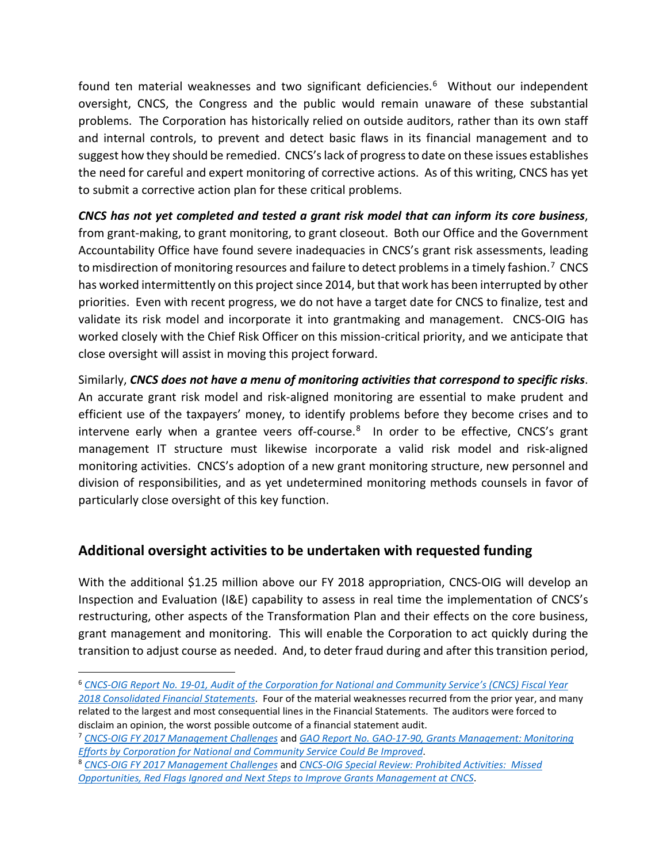found ten material weaknesses and two significant deficiencies. [6](#page-4-0) Without our independent oversight, CNCS, the Congress and the public would remain unaware of these substantial problems. The Corporation has historically relied on outside auditors, rather than its own staff and internal controls, to prevent and detect basic flaws in its financial management and to suggest how they should be remedied. CNCS's lack of progress to date on these issues establishes the need for careful and expert monitoring of corrective actions. As of this writing, CNCS has yet to submit a corrective action plan for these critical problems.

*CNCS has not yet completed and tested a grant risk model that can inform its core business*, from grant-making, to grant monitoring, to grant closeout. Both our Office and the Government Accountability Office have found severe inadequacies in CNCS's grant risk assessments, leading to misdirection of monitoring resources and failure to detect problems in a timely fashion.<sup>7</sup> CNCS has worked intermittently on this project since 2014, but that work has been interrupted by other priorities. Even with recent progress, we do not have a target date for CNCS to finalize, test and validate its risk model and incorporate it into grantmaking and management. CNCS-OIG has worked closely with the Chief Risk Officer on this mission-critical priority, and we anticipate that close oversight will assist in moving this project forward.

Similarly, *CNCS does not have a menu of monitoring activities that correspond to specific risks*. An accurate grant risk model and risk-aligned monitoring are essential to make prudent and efficient use of the taxpayers' money, to identify problems before they become crises and to intervene early when a grantee veers off-course.<sup>[8](#page-4-2)</sup> In order to be effective, CNCS's grant management IT structure must likewise incorporate a valid risk model and risk-aligned monitoring activities. CNCS's adoption of a new grant monitoring structure, new personnel and division of responsibilities, and as yet undetermined monitoring methods counsels in favor of particularly close oversight of this key function.

#### **Additional oversight activities to be undertaken with requested funding**

With the additional \$1.25 million above our FY 2018 appropriation, CNCS-OIG will develop an Inspection and Evaluation (I&E) capability to assess in real time the implementation of CNCS's restructuring, other aspects of the Transformation Plan and their effects on the core business, grant management and monitoring. This will enable the Corporation to act quickly during the transition to adjust course as needed. And, to deter fraud during and after this transition period,

<span id="page-4-0"></span> <sup>6</sup> *[CNCS-OIG Report No. 19-01, Audit of the Corporation for National and Community Service's \(CNCS\) Fiscal Year](https://www.cncsoig.gov/news-entry/19-01-audit-corporation-national-and-community-services-cncs-fiscal-year-2018)  [2018 Consolidated Financial Statements](https://www.cncsoig.gov/news-entry/19-01-audit-corporation-national-and-community-services-cncs-fiscal-year-2018)*. Four of the material weaknesses recurred from the prior year, and many related to the largest and most consequential lines in the Financial Statements. The auditors were forced to disclaim an opinion, the worst possible outcome of a financial statement audit.

<span id="page-4-1"></span><sup>7</sup> *[CNCS-OIG FY 2017 Management Challenges](https://www.cncsoig.gov/sites/default/files/cncs_management_challenges.pdf)* and *[GAO Report No. GAO-17-90, Grants Management: Monitoring](https://www.gao.gov/assets/690/683461.pdf)  Efforts [by Corporation for National and Community Service Could Be Improved](https://www.gao.gov/assets/690/683461.pdf)*.

<span id="page-4-2"></span><sup>8</sup> *[CNCS-OIG FY 2017 Management Challenges](https://www.cncsoig.gov/sites/default/files/cncs_management_challenges.pdf)* and *[CNCS-OIG Special Review: Prohibited Activities: Missed](https://www.cncsoig.gov/sites/default/files/nachc_missed_opportunities.pdf)  [Opportunities, Red Flags Ignored and Next Steps to Improve Grants Management at CNCS](https://www.cncsoig.gov/sites/default/files/nachc_missed_opportunities.pdf)*.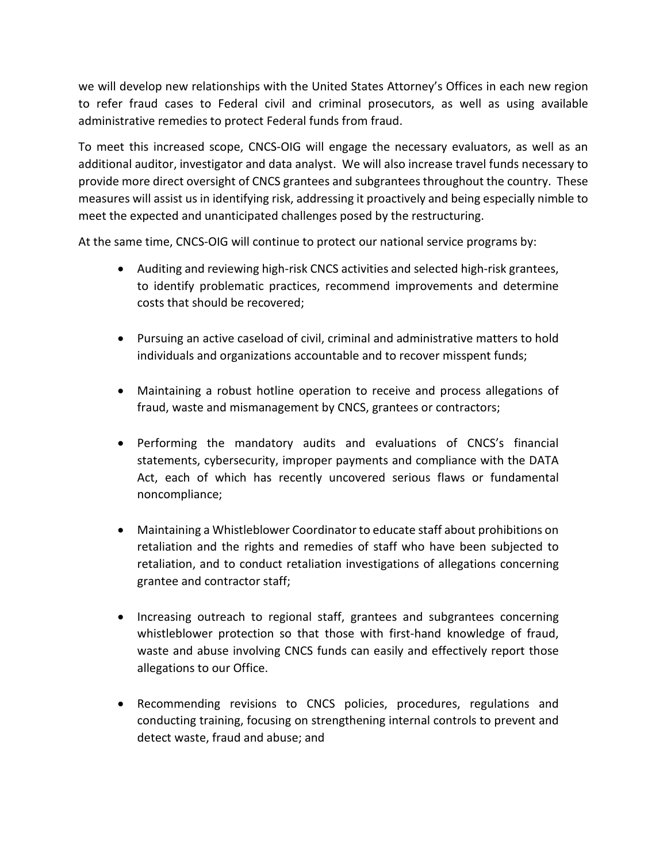we will develop new relationships with the United States Attorney's Offices in each new region to refer fraud cases to Federal civil and criminal prosecutors, as well as using available administrative remedies to protect Federal funds from fraud.

To meet this increased scope, CNCS-OIG will engage the necessary evaluators, as well as an additional auditor, investigator and data analyst. We will also increase travel funds necessary to provide more direct oversight of CNCS grantees and subgrantees throughout the country. These measures will assist us in identifying risk, addressing it proactively and being especially nimble to meet the expected and unanticipated challenges posed by the restructuring.

At the same time, CNCS-OIG will continue to protect our national service programs by:

- Auditing and reviewing high-risk CNCS activities and selected high-risk grantees, to identify problematic practices, recommend improvements and determine costs that should be recovered;
- Pursuing an active caseload of civil, criminal and administrative matters to hold individuals and organizations accountable and to recover misspent funds;
- Maintaining a robust hotline operation to receive and process allegations of fraud, waste and mismanagement by CNCS, grantees or contractors;
- Performing the mandatory audits and evaluations of CNCS's financial statements, cybersecurity, improper payments and compliance with the DATA Act, each of which has recently uncovered serious flaws or fundamental noncompliance;
- Maintaining a Whistleblower Coordinator to educate staff about prohibitions on retaliation and the rights and remedies of staff who have been subjected to retaliation, and to conduct retaliation investigations of allegations concerning grantee and contractor staff;
- Increasing outreach to regional staff, grantees and subgrantees concerning whistleblower protection so that those with first-hand knowledge of fraud, waste and abuse involving CNCS funds can easily and effectively report those allegations to our Office.
- Recommending revisions to CNCS policies, procedures, regulations and conducting training, focusing on strengthening internal controls to prevent and detect waste, fraud and abuse; and